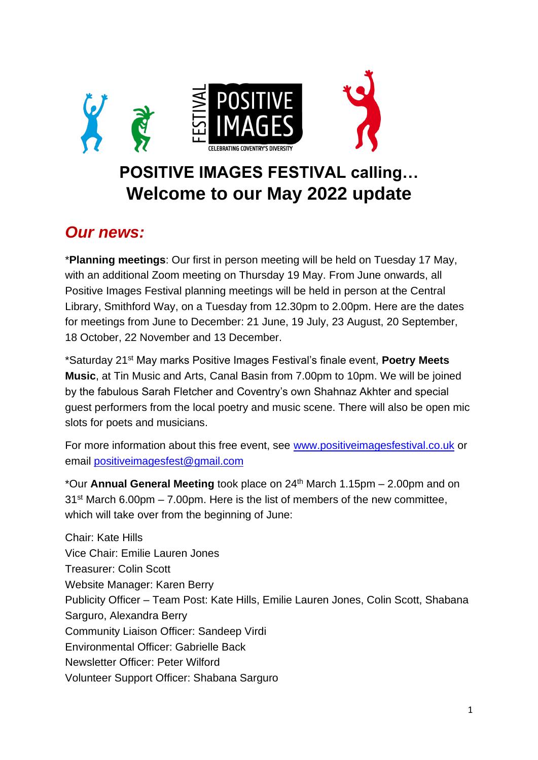

## **POSITIVE IMAGES FESTIVAL calling… Welcome to our May 2022 update**

#### *Our news:*

\***Planning meetings**: Our first in person meeting will be held on Tuesday 17 May, with an additional Zoom meeting on Thursday 19 May. From June onwards, all Positive Images Festival planning meetings will be held in person at the Central Library, Smithford Way, on a Tuesday from 12.30pm to 2.00pm. Here are the dates for meetings from June to December: 21 June, 19 July, 23 August, 20 September, 18 October, 22 November and 13 December.

\*Saturday 21st May marks Positive Images Festival's finale event, **Poetry Meets Music**, at Tin Music and Arts, Canal Basin from 7.00pm to 10pm. We will be joined by the fabulous Sarah Fletcher and Coventry's own Shahnaz Akhter and special guest performers from the local poetry and music scene. There will also be open mic slots for poets and musicians.

For more information about this free event, see [www.positiveimagesfestival.co.uk](http://www.positiveimagesfestival.co.uk/) or email [positiveimagesfest@gmail.com](mailto:positiveimagesfest@gmail.com)

\*Our **Annual General Meeting** took place on 24th March 1.15pm – 2.00pm and on  $31<sup>st</sup>$  March 6.00pm – 7.00pm. Here is the list of members of the new committee, which will take over from the beginning of June:

Chair: Kate Hills Vice Chair: Emilie Lauren Jones Treasurer: Colin Scott Website Manager: Karen Berry Publicity Officer – Team Post: Kate Hills, Emilie Lauren Jones, Colin Scott, Shabana Sarguro, Alexandra Berry Community Liaison Officer: Sandeep Virdi Environmental Officer: Gabrielle Back Newsletter Officer: Peter Wilford Volunteer Support Officer: Shabana Sarguro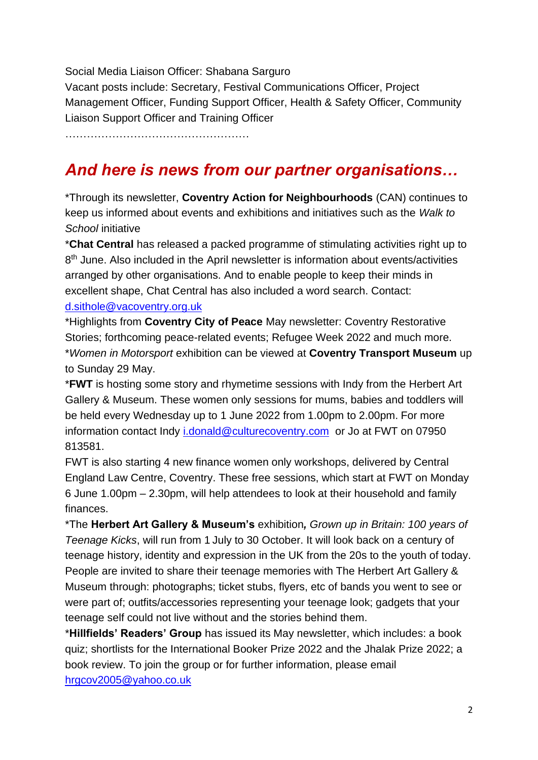Social Media Liaison Officer: Shabana Sarguro Vacant posts include: Secretary, Festival Communications Officer, Project Management Officer, Funding Support Officer, Health & Safety Officer, Community Liaison Support Officer and Training Officer

……………………………………………

## *And here is news from our partner organisations…*

\*Through its newsletter, **Coventry Action for Neighbourhoods** (CAN) continues to keep us informed about events and exhibitions and initiatives such as the *Walk to School* initiative

\***Chat Central** has released a packed programme of stimulating activities right up to 8<sup>th</sup> June. Also included in the April newsletter is information about events/activities arranged by other organisations. And to enable people to keep their minds in excellent shape, Chat Central has also included a word search. Contact: [d.sithole@vacoventry.org.uk](mailto:d.sithole@vacoventry.org.uk)

\*Highlights from **Coventry City of Peace** May newsletter: Coventry Restorative Stories; forthcoming peace-related events; Refugee Week 2022 and much more. \**Women in Motorsport* exhibition can be viewed at **Coventry Transport Museum** up to Sunday 29 May.

\***FWT** is hosting some story and rhymetime sessions with Indy from the Herbert Art Gallery & Museum. These women only sessions for mums, babies and toddlers will be held every Wednesday up to 1 June 2022 from 1.00pm to 2.00pm. For more information contact Indy [i.donald@culturecoventry.com](mailto:i.donald@culturecoventry.com) or Jo at FWT on 07950 813581.

FWT is also starting 4 new finance women only workshops, delivered by Central England Law Centre, Coventry. These free sessions, which start at FWT on Monday 6 June 1.00pm – 2.30pm, will help attendees to look at their household and family finances.

\*The **Herbert Art Gallery & Museum's** exhibition*, Grown up in Britain: 100 years of Teenage Kicks*, will run from 1 July to 30 October. It will look back on a century of teenage history, identity and expression in the UK from the 20s to the youth of today. People are invited to share their teenage memories with The Herbert Art Gallery & Museum through: photographs; ticket stubs, flyers, etc of bands you went to see or were part of; outfits/accessories representing your teenage look; gadgets that your teenage self could not live without and the stories behind them.

\***Hillfields' Readers' Group** has issued its May newsletter, which includes: a book quiz; shortlists for the International Booker Prize 2022 and the Jhalak Prize 2022; a book review. To join the group or for further information, please email [hrgcov2005@yahoo.co.uk](mailto:hrgcov2005@yahoo.co.uk)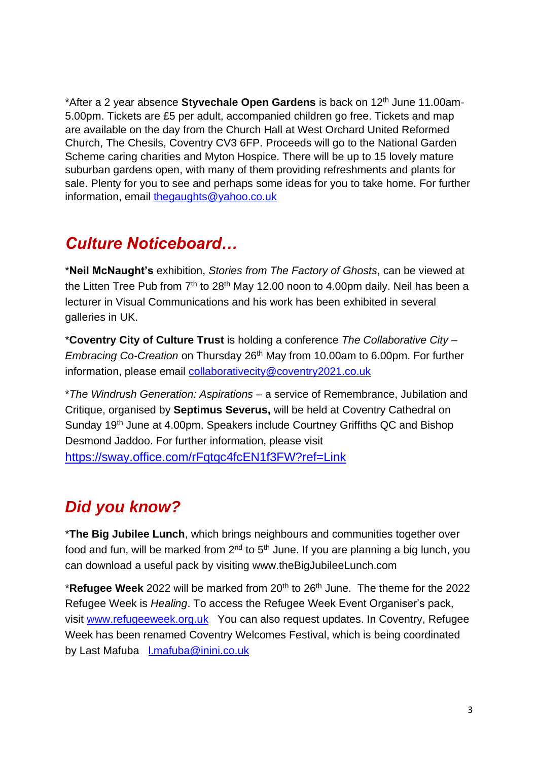\*After a 2 year absence **Styvechale Open Gardens** is back on 12th June 11.00am-5.00pm. Tickets are £5 per adult, accompanied children go free. Tickets and map are available on the day from the Church Hall at West Orchard United Reformed Church, The Chesils, Coventry CV3 6FP. Proceeds will go to the National Garden Scheme caring charities and Myton Hospice. There will be up to 15 lovely mature suburban gardens open, with many of them providing refreshments and plants for sale. Plenty for you to see and perhaps some ideas for you to take home. For further information, email [thegaughts@yahoo.co.uk](mailto:thegaughts@yahoo.co.uk)

### *Culture Noticeboard…*

\***Neil McNaught's** exhibition, *Stories from The Factory of Ghosts*, can be viewed at the Litten Tree Pub from  $7<sup>th</sup>$  to 28<sup>th</sup> May 12.00 noon to 4.00pm daily. Neil has been a lecturer in Visual Communications and his work has been exhibited in several galleries in UK.

\***Coventry City of Culture Trust** is holding a conference *The Collaborative City – Embracing Co-Creation* on Thursday 26<sup>th</sup> May from 10.00am to 6.00pm. For further information, please email [collaborativecity@coventry2021.co.uk](mailto:collaborativecity@coventry2021.co.uk)

\**The Windrush Generation: Aspirations* – a service of Remembrance, Jubilation and Critique, organised by **Septimus Severus,** will be held at Coventry Cathedral on Sunday 19<sup>th</sup> June at 4.00pm. Speakers include Courtney Griffiths QC and Bishop Desmond Jaddoo. For further information, please visit <https://sway.office.com/rFqtqc4fcEN1f3FW?ref=Link>

## *Did you know?*

\***The Big Jubilee Lunch**, which brings neighbours and communities together over food and fun, will be marked from  $2^{nd}$  to  $5^{th}$  June. If you are planning a big lunch, you can download a useful pack by visiting www.theBigJubileeLunch.com

\***Refugee Week** 2022 will be marked from 20th to 26th June. The theme for the 2022 Refugee Week is *Healing*. To access the Refugee Week Event Organiser's pack, visit [www.refugeeweek.org.uk](http://www.refugeeweek.org.uk/) You can also request updates. In Coventry, Refugee Week has been renamed Coventry Welcomes Festival, which is being coordinated by Last Mafuba [l.mafuba@inini.co.uk](mailto:l.mafuba@inini.co.uk)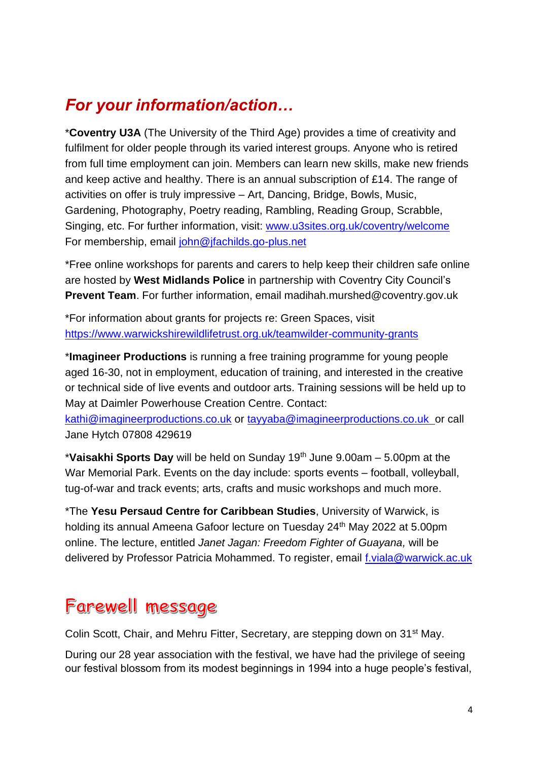# *For your information/action…*

\***Coventry U3A** (The University of the Third Age) provides a time of creativity and fulfilment for older people through its varied interest groups. Anyone who is retired from full time employment can join. Members can learn new skills, make new friends and keep active and healthy. There is an annual subscription of £14. The range of activities on offer is truly impressive – Art, Dancing, Bridge, Bowls, Music, Gardening, Photography, Poetry reading, Rambling, Reading Group, Scrabble, Singing, etc. For further information, visit: [www.u3sites.org.uk/coventry/welcome](http://www.u3sites.org.uk/coventry/welcome) For membership, email [john@jfachilds.go-plus.net](mailto:john@jfachilds.go-plus.net)

\*Free online workshops for parents and carers to help keep their children safe online are hosted by **West Midlands Police** in partnership with Coventry City Council's **Prevent Team**. For further information, email madihah.murshed@coventry.gov.uk

\*For information about grants for projects re: Green Spaces, visit <https://www.warwickshirewildlifetrust.org.uk/teamwilder-community-grants>

\***Imagineer Productions** is running a free training programme for young people aged 16-30, not in employment, education of training, and interested in the creative or technical side of live events and outdoor arts. Training sessions will be held up to May at Daimler Powerhouse Creation Centre. Contact:

[kathi@imagineerproductions.co.uk](mailto:kathi@imagineerproductions.co.uk) or [tayyaba@imagineerproductions.co.uk](mailto:tayyaba@imagineerproductions.co.uk) or call Jane Hytch 07808 429619

\***Vaisakhi Sports Day** will be held on Sunday 19th June 9.00am – 5.00pm at the War Memorial Park. Events on the day include: sports events – football, volleyball, tug-of-war and track events; arts, crafts and music workshops and much more.

\*The **Yesu Persaud Centre for Caribbean Studies**, University of Warwick, is holding its annual Ameena Gafoor lecture on Tuesday 24<sup>th</sup> May 2022 at 5.00pm online. The lecture, entitled *Janet Jagan: Freedom Fighter of Guayana,* will be delivered by Professor Patricia Mohammed. To register, email [f.viala@warwick.ac.uk](mailto:f.viala@warwick.ac.uk)

# Farewell message

Colin Scott, Chair, and Mehru Fitter, Secretary, are stepping down on 31<sup>st</sup> May.

During our 28 year association with the festival, we have had the privilege of seeing our festival blossom from its modest beginnings in 1994 into a huge people's festival,